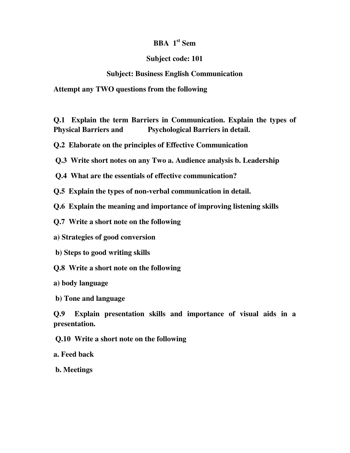# **BBA 1st Sem**

#### **Subject code: 101**

## **Subject: Business English Communication**

**Attempt any TWO questions from the following** 

**Q.1 Explain the term Barriers in Communication. Explain the types of Physical Barriers and Psychological Barriers in detail.** 

**Q.2 Elaborate on the principles of Effective Communication** 

 **Q.3 Write short notes on any Two a. Audience analysis b. Leadership** 

 **Q.4 What are the essentials of effective communication?** 

**Q.5 Explain the types of non-verbal communication in detail.** 

**Q.6 Explain the meaning and importance of improving listening skills** 

**Q.7 Write a short note on the following** 

**a) Strategies of good conversion** 

 **b) Steps to good writing skills** 

**Q.8 Write a short note on the following** 

**a) body language** 

 **b) Tone and language** 

**Q.9 Explain presentation skills and importance of visual aids in a presentation.** 

 **Q.10 Write a short note on the following** 

**a. Feed back** 

 **b. Meetings**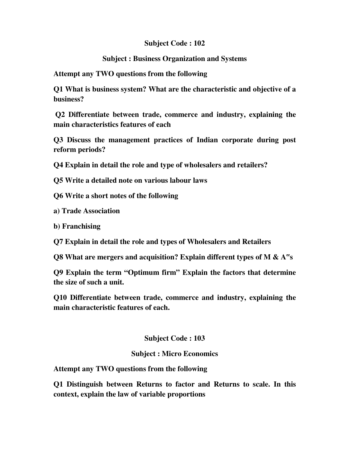## **Subject Code : 102**

## **Subject : Business Organization and Systems**

**Attempt any TWO questions from the following** 

**Q1 What is business system? What are the characteristic and objective of a business?** 

 **Q2 Differentiate between trade, commerce and industry, explaining the main characteristics features of each** 

**Q3 Discuss the management practices of Indian corporate during post reform periods?** 

**Q4 Explain in detail the role and type of wholesalers and retailers?** 

**Q5 Write a detailed note on various labour laws** 

**Q6 Write a short notes of the following** 

**a) Trade Association** 

**b) Franchising** 

**Q7 Explain in detail the role and types of Wholesalers and Retailers** 

**Q8 What are mergers and acquisition? Explain different types of M & A**"**s** 

**Q9 Explain the term "Optimum firm" Explain the factors that determine the size of such a unit.** 

**Q10 Differentiate between trade, commerce and industry, explaining the main characteristic features of each.** 

## **Subject Code : 103**

#### **Subject : Micro Economics**

**Attempt any TWO questions from the following** 

**Q1 Distinguish between Returns to factor and Returns to scale. In this context, explain the law of variable proportions**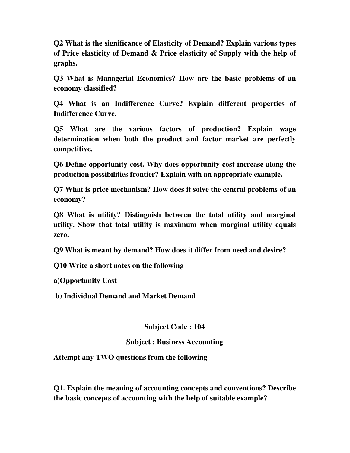**Q2 What is the significance of Elasticity of Demand? Explain various types of Price elasticity of Demand & Price elasticity of Supply with the help of graphs.** 

**Q3 What is Managerial Economics? How are the basic problems of an economy classified?** 

**Q4 What is an Indifference Curve? Explain different properties of Indifference Curve.** 

**Q5 What are the various factors of production? Explain wage determination when both the product and factor market are perfectly competitive.** 

**Q6 Define opportunity cost. Why does opportunity cost increase along the production possibilities frontier? Explain with an appropriate example.** 

**Q7 What is price mechanism? How does it solve the central problems of an economy?** 

**Q8 What is utility? Distinguish between the total utility and marginal utility. Show that total utility is maximum when marginal utility equals zero.** 

**Q9 What is meant by demand? How does it differ from need and desire?** 

**Q10 Write a short notes on the following** 

**a)Opportunity Cost** 

 **b) Individual Demand and Market Demand** 

**Subject Code : 104** 

## **Subject : Business Accounting**

**Attempt any TWO questions from the following** 

**Q1. Explain the meaning of accounting concepts and conventions? Describe the basic concepts of accounting with the help of suitable example?**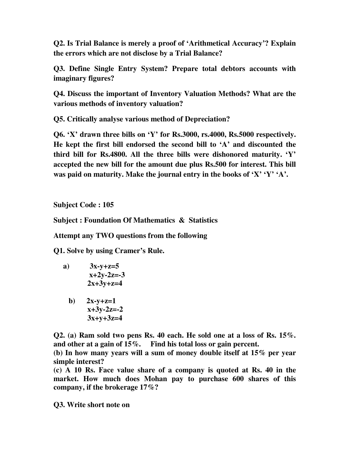**Q2. Is Trial Balance is merely a proof of 'Arithmetical Accuracy'? Explain the errors which are not disclose by a Trial Balance?** 

**Q3. Define Single Entry System? Prepare total debtors accounts with imaginary figures?** 

**Q4. Discuss the important of Inventory Valuation Methods? What are the various methods of inventory valuation?** 

**Q5. Critically analyse various method of Depreciation?** 

**Q6. 'X' drawn three bills on 'Y' for Rs.3000, rs.4000, Rs.5000 respectively. He kept the first bill endorsed the second bill to 'A' and discounted the third bill for Rs.4800. All the three bills were dishonored maturity. 'Y' accepted the new bill for the amount due plus Rs.500 for interest. This bill was paid on maturity. Make the journal entry in the books of 'X' 'Y' 'A'.** 

**Subject Code : 105** 

**Subject : Foundation Of Mathematics & Statistics** 

**Attempt any TWO questions from the following** 

**Q1. Solve by using Cramer's Rule.** 

- **a) 3x-y+z=5 x+2y-2z=-3 2x+3y+z=4** 
	- **b**)  $2x-y+z=1$  **x+3y-2z=-2 3x+y+3z=4**

**Q2. (a) Ram sold two pens Rs. 40 each. He sold one at a loss of Rs. 15%. and other at a gain of 15%. Find his total loss or gain percent.** 

**(b) In how many years will a sum of money double itself at 15% per year simple interest?** 

**(c) A 10 Rs. Face value share of a company is quoted at Rs. 40 in the market. How much does Mohan pay to purchase 600 shares of this company, if the brokerage 17%?** 

**Q3. Write short note on**